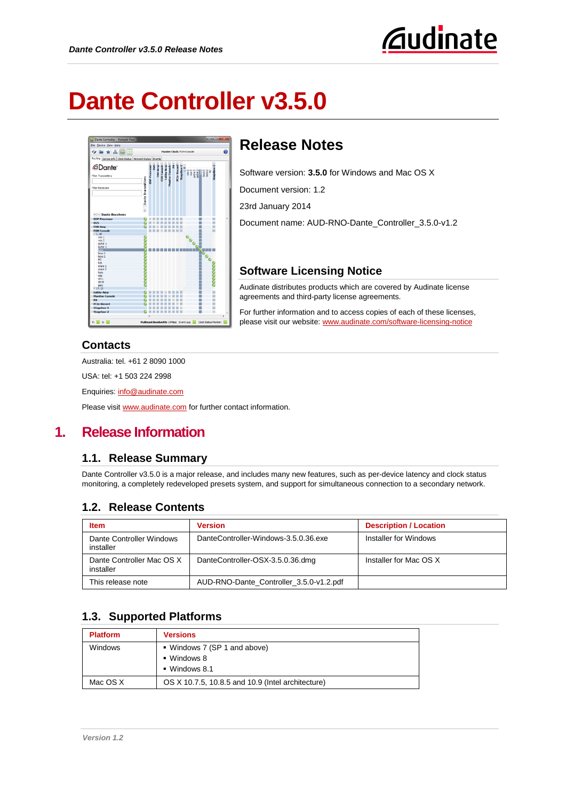

# **Dante Controller v3.5.0**



# **Release Notes**

Software version: **3.5.0** for Windows and Mac OS X

Document version: 1.2

23rd January 2014

Document name: AUD-RNO-Dante\_Controller\_3.5.0-v1.2

#### **Software Licensing Notice**

Audinate distributes products which are covered by Audinate license agreements and third-party license agreements.

For further information and to access copies of each of these licenses, please visit our website[: www.audinate.com/software-licensing-notice](http://www.audinate.com/software-licensing-notice)

#### **Contacts**

Australia: tel. +61 2 8090 1000

USA: tel: +1 503 224 2998

Enquiries: [info@audinate.com](mailto:info@audinate.com)

Please visit [www.audinate.com](http://www.audinate.com/) for further contact information.

## **1. Release Information**

#### **1.1. Release Summary**

Dante Controller v3.5.0 is a major release, and includes many new features, such as per-device latency and clock status monitoring, a completely redeveloped presets system, and support for simultaneous connection to a secondary network.

## **1.2. Release Contents**

| <b>Item</b>                            | <b>Version</b>                          | <b>Description / Location</b> |
|----------------------------------------|-----------------------------------------|-------------------------------|
| Dante Controller Windows<br>installer  | DanteController-Windows-3.5.0.36.exe    | Installer for Windows         |
| Dante Controller Mac OS X<br>installer | DanteController-OSX-3.5.0.36.dmg        | Installer for Mac OS X        |
| This release note                      | AUD-RNO-Dante Controller 3.5.0-v1.2.pdf |                               |

## **1.3. Supported Platforms**

| <b>Platform</b> | <b>Versions</b>                                                                   |
|-----------------|-----------------------------------------------------------------------------------|
| <b>Windows</b>  | • Windows 7 (SP 1 and above)<br>$\blacksquare$ Windows 8<br>$\bullet$ Windows 8.1 |
| Mac OS X        | OS X 10.7.5, 10.8.5 and 10.9 (Intel architecture)                                 |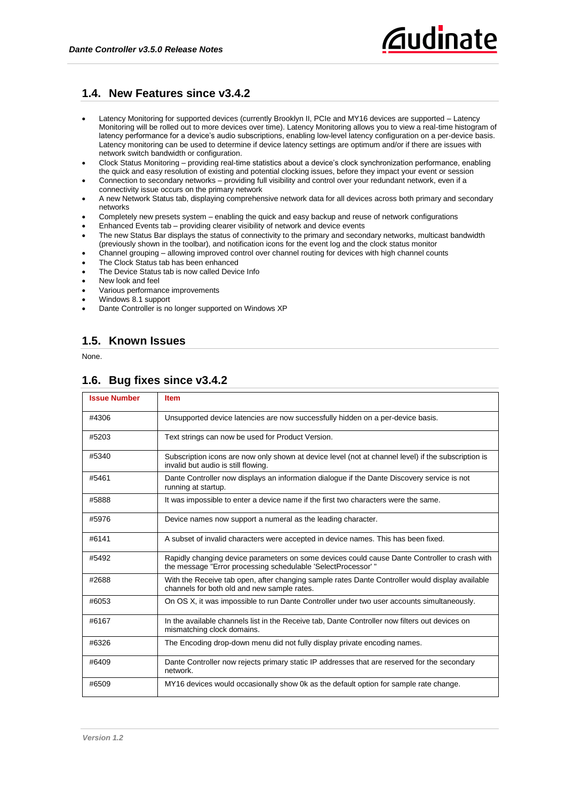#### **1.4. New Features since v3.4.2**

- Latency Monitoring for supported devices (currently Brooklyn II, PCIe and MY16 devices are supported Latency Monitoring will be rolled out to more devices over time). Latency Monitoring allows you to view a real-time histogram of latency performance for a device's audio subscriptions, enabling low-level latency configuration on a per-device basis. Latency monitoring can be used to determine if device latency settings are optimum and/or if there are issues with network switch bandwidth or configuration.
- Clock Status Monitoring providing real-time statistics about a device's clock synchronization performance, enabling the quick and easy resolution of existing and potential clocking issues, before they impact your event or session
- Connection to secondary networks providing full visibility and control over your redundant network, even if a connectivity issue occurs on the primary network
- A new Network Status tab, displaying comprehensive network data for all devices across both primary and secondary networks
- Completely new presets system enabling the quick and easy backup and reuse of network configurations
- Enhanced Events tab providing clearer visibility of network and device events
- The new Status Bar displays the status of connectivity to the primary and secondary networks, multicast bandwidth (previously shown in the toolbar), and notification icons for the event log and the clock status monitor
- Channel grouping allowing improved control over channel routing for devices with high channel counts
- The Clock Status tab has been enhanced
- The Device Status tab is now called Device Info
- New look and feel
- Various performance improvements
- Windows 8.1 support
- Dante Controller is no longer supported on Windows XP

#### **1.5. Known Issues**

None.

#### **1.6. Bug fixes since v3.4.2**

| <b>Issue Number</b> | <b>Item</b>                                                                                                                                                    |
|---------------------|----------------------------------------------------------------------------------------------------------------------------------------------------------------|
| #4306               | Unsupported device latencies are now successfully hidden on a per-device basis.                                                                                |
| #5203               | Text strings can now be used for Product Version.                                                                                                              |
| #5340               | Subscription icons are now only shown at device level (not at channel level) if the subscription is<br>invalid but audio is still flowing.                     |
| #5461               | Dante Controller now displays an information dialogue if the Dante Discovery service is not<br>running at startup.                                             |
| #5888               | It was impossible to enter a device name if the first two characters were the same.                                                                            |
| #5976               | Device names now support a numeral as the leading character.                                                                                                   |
| #6141               | A subset of invalid characters were accepted in device names. This has been fixed.                                                                             |
| #5492               | Rapidly changing device parameters on some devices could cause Dante Controller to crash with<br>the message "Error processing schedulable 'SelectProcessor' " |
| #2688               | With the Receive tab open, after changing sample rates Dante Controller would display available<br>channels for both old and new sample rates.                 |
| #6053               | On OS X, it was impossible to run Dante Controller under two user accounts simultaneously.                                                                     |
| #6167               | In the available channels list in the Receive tab, Dante Controller now filters out devices on<br>mismatching clock domains.                                   |
| #6326               | The Encoding drop-down menu did not fully display private encoding names.                                                                                      |
| #6409               | Dante Controller now rejects primary static IP addresses that are reserved for the secondary<br>network.                                                       |
| #6509               | MY16 devices would occasionally show 0k as the default option for sample rate change.                                                                          |